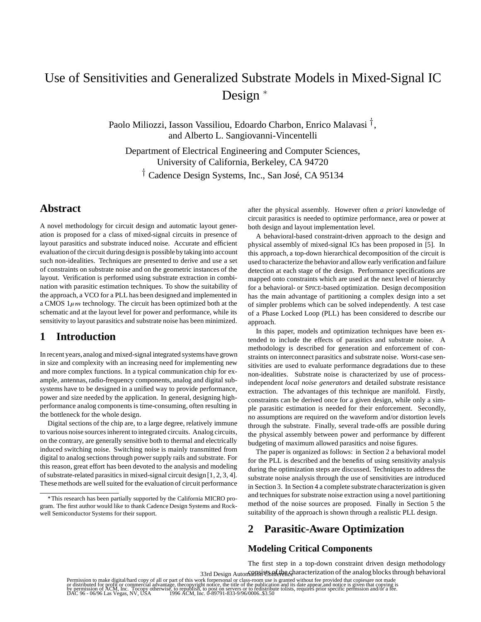# Use of Sensitivities and Generalized Substrate Models in Mixed-Signal IC Design $*$

Paolo Miliozzi, Iasson Vassiliou, Edoardo Charbon, Enrico Malavasi <sup>⊺</sup>, and Alberto L. Sangiovanni-Vincentelli

Department of Electrical Engineering and Computer Sciences, University of California, Berkeley, CA 94720 <sup>T</sup> Cadence Design Systems, Inc., San José, CA 95134

### **Abstract**

A novel methodology for circuit design and automatic layout generation is proposed for a class of mixed-signal circuits in presence of layout parasitics and substrate induced noise. Accurate and efficient evaluation of the circuit during design is possible by taking into account such non-idealities. Techniques are presented to derive and use a set of constraints on substrate noise and on the geometric instances of the layout. Verification is performed using substrate extraction in combination with parasitic estimation techniques. To show the suitability of the approach, a VCO for a PLL has been designed and implemented in a CMOS  $1\mu m$  technology. The circuit has been optimized both at the schematic and at the layout level for power and performance, while its sensitivity to layout parasitics and substrate noise has been minimized.

### **1 Introduction**

In recent years, analog and mixed-signal integrated systems have grown in size and complexity with an increasing need for implementing new and more complex functions. In a typical communication chip for example, antennas, radio-frequency components, analog and digital subsystems have to be designed in a unified way to provide performance, power and size needed by the application. In general, designing highperformance analog components is time-consuming, often resulting in the bottleneck for the whole design.

Digital sections of the chip are, to a large degree, relatively immune to various noise sources inherent to integrated circuits. Analog circuits, on the contrary, are generally sensitive both to thermal and electrically induced switching noise. Switching noise is mainly transmitted from digital to analog sections through power supply rails and substrate. For this reason, great effort has been devoted to the analysis and modeling of substrate-related parasitics in mixed-signal circuit design [1, 2, 3, 4]. These methods are well suited for the evaluation of circuit performance after the physical assembly. However often *a priori* knowledge of circuit parasitics is needed to optimize performance, area or power at both design and layout implementation level.

A behavioral-based constraint-driven approach to the design and physical assembly of mixed-signal ICs has been proposed in [5]. In this approach, a top-down hierarchical decomposition of the circuit is used to characterize the behavior and allow early verification and failure detection at each stage of the design. Performance specifications are mapped onto constraints which are used at the next level of hierarchy for a behavioral- or SPICE-based optimization. Design decomposition has the main advantage of partitioning a complex design into a set of simpler problems which can be solved independently. A test case of a Phase Locked Loop (PLL) has been considered to describe our approach.

In this paper, models and optimization techniques have been extended to include the effects of parasitics and substrate noise. A methodology is described for generation and enforcement of constraints on interconnect parasitics and substrate noise. Worst-case sensitivities are used to evaluate performance degradations due to these non-idealities. Substrate noise is characterized by use of processindependent *local noise generators* and detailed substrate resistance extraction. The advantages of this technique are manifold. Firstly, constraints can be derived once for a given design, while only a simple parasitic estimation is needed for their enforcement. Secondly, no assumptions are required on the waveform and/or distortion levels through the substrate. Finally, several trade-offs are possible during the physical assembly between power and performance by different budgeting of maximum allowed parasitics and noise figures.

The paper is organized as follows: in Section 2 a behavioral model for the PLL is described and the benefits of using sensitivity analysis during the optimization steps are discussed. Techniques to address the substrate noise analysis through the use of sensitivities are introduced in Section 3. In Section 4 a complete substrate characterization is given and techniques for substrate noise extraction using a novel partitioning method of the noise sources are proposed. Finally in Section 5 the suitability of the approach is shown through a realistic PLL design.

### **2 Parasitic-Aware Optimization**

#### **Modeling Critical Components**

33rd Design Automathist Soft the characterization of the analog blocks through behavioral The first step in a top-down constraint driven design methodology

This research has been partially supported by the California MICRO program. The first author would like to thank Cadence Design Systems and Rockwell Semiconductor Systems for their support.

Permission to make digital/hard copy of all or part of this work for personal or class-room use is granted without fee provided that copies are not made<br>or distributed for profit or commercial advantage, the copyright noti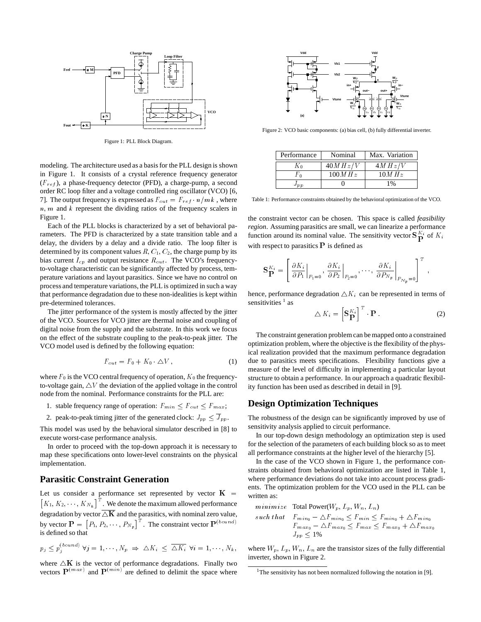

Figure 1: PLL Block Diagram.

modeling. The architecture used as a basis for the PLL design is shown in Figure 1. It consists of a crystal reference frequency generator  $(F_{ref})$ , a phase-frequency detector (PFD), a charge-pump, a second order RC loop filter and a voltage controlled ring oscillator (VCO) [6, 7]. The output frequency is expressed as  $F_{out} = F_{ref} \cdot n/mk$ , where  $n, m$  and  $k$  represent the dividing ratios of the frequency scalers in Figure 1.

Each of the PLL blocks is characterized by a set of behavioral parameters. The PFD is characterized by a state transition table and a delay, the dividers by a delay and a divide ratio. The loop filter is determined by its component values  $R, C_1, C_2$ , the charge pump by its bias current  $I_{cp}$  and output resistance  $R_{out}$ . The VCO's frequencyto-voltage characteristic can be significantly affected by process, temperature variations and layout parasitics. Since we have no control on process and temperature variations, the PLL is optimized in such a way that performance degradation due to these non-idealities is kept within pre-determined tolerances.

The jitter performance of the system is mostly affected by the jitter of the VCO. Sources for VCO jitter are thermal noise and coupling of digital noise from the supply and the substrate. In this work we focus on the effect of the substrate coupling to the peak-to-peak jitter. The VCO model used is defined by the following equation:

$$
F_{out} = F_0 + K_0 \cdot \Delta V \,, \tag{1}
$$

where  $F_0$  is the VCO central frequency of operation,  $K_0$  the frequencyto-voltage gain,  $\Delta V$  the deviation of the applied voltage in the control node from the nominal. Performance constraints for the PLL are:

- 1. stable frequency range of operation:  $F_{min} \leq F_{out} \leq F_{max}$ ;
- 2. peak-to-peak timing jitter of the generated clock:  $J_{pp} \leq J_{pp}$ .

This model was used by the behavioral simulator described in [8] to execute worst-case performance analysis.

In order to proceed with the top-down approach it is necessary to map these specifications onto lower-level constraints on the physical implementation.

#### **Parasitic Constraint Generation**

Let us consider a performance set represented by vector  $K =$  $[K_1, K_2, \cdots, K_{N_k}]^T$ . We denote the maximum allowed performance degradation by vector  $\overline{\Delta K}$  and the parasitics, with nominal zero value, by vector  $\mathbf{P} = [P_1, P_2, \dots, P_{N_p}]^T$ . The constraint vector  $\mathbf{P}^{(bound)}$ is defined so that

$$
p_j \leq p_j^{(bound)}
$$
  $\forall j = 1, \cdots, N_p \Rightarrow \Delta K_i \leq \overline{\Delta K_i}$   $\forall i = 1, \cdots, N_k$ ,

where  $\triangle K$  is the vector of performance degradations. Finally two vectors  $\mathbf{P}^{(max)}$  and  $\mathbf{P}^{(min)}$  are defined to delimit the space where



Figure 2: VCO basic components: (a) bias cell, (b) fully differential inverter.

| Performance | Nominal | Max. Variation |
|-------------|---------|----------------|
|             | 40MHz/V | 4MHz/V         |
|             | 100MHz  | 10MHz          |
|             |         |                |

Table 1: Performance constraints obtained by the behavioral optimization of the VCO.

the constraint vector can be chosen. This space is called *feasibility region*. Assuming parasitics are small, we can linearize a performance function around its nominal value. The sensitivity vector  $\mathbf{S}_{\mathbf{P}}^{K_i}$  of  $K_i$ with respect to parasitics  $P$  is defined as

$$
\mathbf{S}_{\mathbf{P}}^{K_i} = \left[ \left. \frac{\partial K_i}{\partial P_1} \right|_{P_1=0}, \left. \frac{\partial K_i}{\partial P_2} \right|_{P_2=0}, \cdots, \left. \frac{\partial K_i}{\partial P_{N_p}} \right|_{P_{N_p}=0} \right]^T,
$$

hence, performance degradation  $\Delta K_i$  can be represented in terms of sensitivities  $<sup>1</sup>$  as</sup>

$$
\Delta K_i = \left[ \mathbf{S}_{\mathbf{P}}^{K_i} \right]^T \cdot \mathbf{P} \tag{2}
$$

The constraint generation problem can be mapped onto a constrained optimization problem, where the objective is the flexibility of the physical realization provided that the maximum performance degradation due to parasitics meets specifications. Flexibility functions give a measure of the level of difficulty in implementing a particular layout structure to obtain a performance. In our approach a quadratic flexibility function has been used as described in detail in [9].

#### **Design Optimization Techniques**

The robustness of the design can be significantly improved by use of sensitivity analysis applied to circuit performance.

In our top-down design methodology an optimization step is used for the selection of the parameters of each building block so as to meet all performance constraints at the higher level of the hierarchy [5].

In the case of the VCO shown in Figure 1, the performance constraints obtained from behavioral optimization are listed in Table 1, where performance deviations do not take into account process gradients. The optimization problem for the VCO used in the PLL can be written as:

$$
\begin{array}{ll}\n\textit{minimize} & \text{Total Power}(W_p, L_p, W_n, L_n) \\
\textit{such that} & F_{\min_0} - \Delta F_{\min_0} \le F_{\min} \le F_{\min_0} + \Delta F_{\min_0} \\
& F_{\max_0} - \Delta F_{\max_0} \le F_{\max} \le F_{\max_0} + \Delta F_{\max_0} \\
& J_{\text{pp}} \le 1\%\n\end{array}
$$

where  $W_p$ ,  $L_p$ ,  $W_n$ ,  $L_n$  are the transistor sizes of the fully differential inverter, shown in Figure 2.

<sup>&</sup>lt;sup>1</sup>The sensitivity has not been normalized following the notation in [9].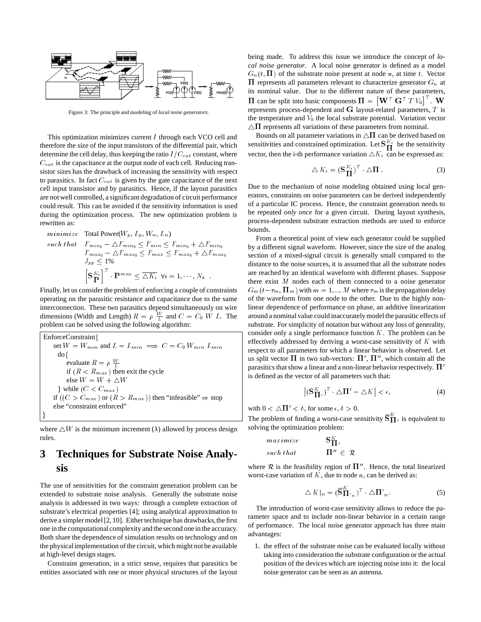

Figure 3: The principle and modeling of *local noise generators*.

This optimization minimizes current  $I$  through each VCO cell and therefore the size of the input transistors of the differential pair, which determine the cell delay, thus keeping the ratio  $I/C_{out}$  constant, where  $C_{out}$  is the capacitance at the output node of each cell. Reducing transistor sizes has the drawback of increasing the sensitivity with respect to parasitics. In fact  $C_{out}$  is given by the gate capacitance of the next cell input transistor and by parasitics. Hence, if the layout parasitics are not well controlled, a significant degradation of circuit performance could result. This can be avoided if the sensitivity information is used during the optimization process. The new optimization problem is rewritten as:

minimize Total Power(
$$
W_p
$$
,  $L_p$ ,  $W_n$ ,  $L_n$ )  
\nsuch that  $F_{min_0} - \Delta F_{min_0} \le F_{min} \le F_{min_0} + \Delta F_{min_0}$   
\n $F_{max_0} - \Delta F_{max_0} \le F_{max} \le F_{max_0} + \Delta F_{max_0}$   
\n $I_{pp} \le 1\%$   
\n $\left[\mathbf{S}_{\mathbf{P}}^{K_i}\right]^T \cdot \mathbf{P}^{max} \le \overline{\Delta K_i} \ \forall i = 1, \cdots, N_k$ .

Finally, let us consider the problem of enforcing a couple of constraints operating on the parasitic resistance and capacitance due to the same interconnection. These two parasitics depend simultaneously on wire dimensions (Width and Length)  $R = \rho \frac{W}{L}$  and  $C = C_0 W L$ . The problem can be solved using the following algorithm:

EnforceConstraint{

\nset *W* = *W*<sub>min</sub> and *L* = *L*<sub>min</sub> ⇒ *C* = *C*<sub>0</sub> *W*<sub>min</sub> *L*<sub>min</sub> do{

\nevaluate *R* = *ρ* 
$$
\frac{W}{L}
$$

\nif (*R* < *R*<sub>max</sub>) then exit the cycle

\nelse *W* = *W* + ∆*W*

\nwhile (*C* < *C*<sub>max</sub>)

\nif ((*C* > *C*<sub>max</sub>) or (*R* > *R*<sub>max</sub>)) then "infeasible" ⇒ stop

\nelse "constraint enforced"

where  $\triangle W$  is the minimum increment ( $\lambda$ ) allowed by process design rules.

graduate the contract of the contract of

## **3 Techniques for Substrate Noise Analysis**

The use of sensitivities for the constraint generation problem can be extended to substrate noise analysis. Generally the substrate noise analysis is addressed in two ways: through a complete extraction of substrate's electrical properties [4]; using analytical approximation to derive a simpler model [2, 10]. Either technique has drawbacks, the first one in the computational complexity and the second one in the accuracy. Both share the dependence of simulation results on technology and on the physicalimplementation of the circuit, which might not be available at high-level design stages.

Constraint generation, in a strict sense, requires that parasitics be entities associated with one or more physical structures of the layout being made. To address this issue we introduce the concept of *local noise generator*. A local noise generator is defined as a model  $G_n(t,\Pi)$  of the substrate noise present at node n, at time t. Vector  $\Pi$  represents all parameters relevant to characterize generator  $G_n$  at its nominal value. Due to the different nature of these parameters,  $\Pi$  can be split into basic components  $\Pi = [\mathbf{W}^T \ \mathbf{G}^T \ T \ V_0]^T$ . W represents process-dependent and  $\bf{G}$  layout-related parameters,  $T$  is the temperature and  $V_0$  the local substrate potential. Variation vector  $\triangle \Pi$  represents all variations of these parameters from nominal.

Bounds on all parameter variations in  $\triangle \Pi$  can be derived based on sensitivities and constrained optimization. Let  $S_{\Pi}^{K_i}$  be the sensitivity vector, then the i-th performance variation  $\triangle K_i$  can be expressed as:

$$
\Delta K_i = (\mathbf{S}_{\mathbf{\Pi}}^{K_i})^T \cdot \Delta \mathbf{\Pi} \tag{3}
$$

Due to the mechanism of noise modeling obtained using local generators, constraints on noise parameters can be derived independently of a particular IC process. Hence, the constraint generation needs to be repeated *only once* for a given circuit. During layout synthesis, process-dependent substrate extraction methods are used to enforce bounds.

From a theoretical point of view each generator could be supplied by a different signal waveform. However, since the size of the analog section of a mixed-signal circuit is generally small compared to the distance to the noise sources, it is assumed that all the substrate nodes are reached by an identical waveform with different phases. Suppose there exist  $M$  nodes each of them connected to a noise generator  $G_m(t-\tau_m,\mathbf{\Pi}_m)$  with  $m = 1, \dots, M$  where  $\tau_m$  is the propagation delay of the waveform from one node to the other. Due to the highly nonlinear dependence of performance on phase, an additive linearization around a nominal value could inaccurately model the parasitic effects of substrate. For simplicity of notation but without any loss of generality, consider only a single performance function  $K$ . The problem can be effectively addressed by deriving a worst-case sensitivity of  $K$  with respect to all parameters for which a linear behavior is observed. Let us split vector  $\Pi$  in two sub-vectors:  $\Pi'$ ,  $\Pi''$ , which contain all the parasitics that show a linear and a non-linear behavior respectively.  $\Pi'$ is defined as the vector of all parameters such that:

$$
\left| (\mathbf{S}_{\mathbf{\Pi}}^{K})^{T} \cdot \Delta \mathbf{\Pi}' - \Delta K \right| < \epsilon,\tag{4}
$$

with  $0 < \Delta \Pi' < \delta$ , for some  $\epsilon, \delta > 0$ .

The problem of finding a worst-case sensitivity  $S_{\Pi}^{+}$  is equivalent to solving the optimization problem:

$$
\begin{array}{ll}\n\textit{maximize} & \mathbf{S}_{\Pi}^K, \\
\textit{such that} & \Pi'' \in \mathcal{R}\n\end{array}
$$

where  $\mathcal R$  is the feasibility region of  $\Pi''$ . Hence, the total linearized worst-case variation of  $K$ , due to node  $n$ , can be derived as:

$$
\Delta K|_{n} = (\overline{\mathbf{S}}_{\mathbf{\Pi}^{'}}^{K} \mathbf{I})^{T} \cdot \Delta \mathbf{\Pi'}_{n}.
$$
 (5)

The introduction of worst-case sensitivity allows to reduce the parameter space and to include non-linear behavior in a certain range of performance. The local noise generator approach has three main advantages:

1. the effect of the substrate noise can be evaluated locally without taking into consideration the substrate configuration or the actual position of the devices which are injecting noise into it: the local noise generator can be seen as an antenna.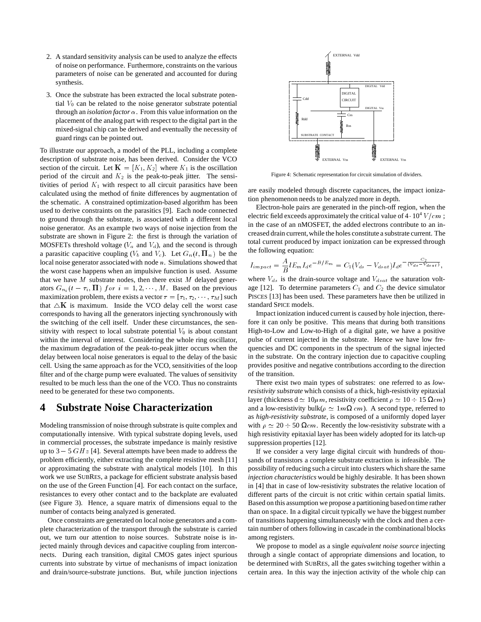- 2. A standard sensitivity analysis can be used to analyze the effects of noise on performance. Furthermore, constraints on the various parameters of noise can be generated and accounted for during synthesis.
- 3. Once the substrate has been extracted the local substrate potential  $V_0$  can be related to the noise generator substrate potential through an *isolation factor*  $\alpha$ . From this value information on the placement of the analog part with respect to the digital part in the mixed-signal chip can be derived and eventually the necessity of guard rings can be pointed out.

To illustrate our approach, a model of the PLL, including a complete description of substrate noise, has been derived. Consider the VCO section of the circuit. Let  $\mathbf{K} = [K_1, K_2]$  where  $K_1$  is the oscillation period of the circuit and  $K_2$  is the peak-to-peak jitter. The sensitivities of period  $K_1$  with respect to all circuit parasitics have been calculated using the method of finite differences by augmentation of the schematic. A constrained optimization-based algorithm has been used to derive constraints on the parasitics [9]. Each node connected to ground through the substrate, is associated with a different local noise generator. As an example two ways of noise injection from the substrate are shown in Figure 2: the first is through the variation of MOSFETs threshold voltage  $(V_a$  and  $V_d$ ), and the second is through a parasitic capacitive coupling  $(V_b \text{ and } V_c)$ . Let  $G_n(t,\Pi_n)$  be the local noise generator associated with node  $n$ . Simulations showed that the worst case happens when an impulsive function is used. Assume that we have  $M$  substrate nodes, then there exist  $M$  delayed generators  $G_{n_i}$   $(t - \tau_i, \Pi)$  for  $i = 1, 2, \dots, M$ . Based on the previous maximization problem, there exists a vector  $\tau = [\tau_1, \tau_2, \cdots, \tau_M]$  such that  $\triangle K$  is maximum. Inside the VCO delay cell the worst case corresponds to having all the generators injecting synchronously with the switching of the cell itself. Under these circumstances, the sensitivity with respect to local substrate potential  $V_0$  is about constant within the interval of interest. Considering the whole ring oscillator, the maximum degradation of the peak-to-peak jitter occurs when the delay between local noise generators is equal to the delay of the basic cell. Using the same approach as for the VCO, sensitivities of the loop filter and of the charge pump were evaluated. The values of sensitivity resulted to be much less than the one of the VCO. Thus no constraints need to be generated for these two components.

### **4 Substrate Noise Characterization**

Modeling transmission of noise through substrate is quite complex and computationally intensive. With typical substrate doping levels, used in commercial processes, the substrate impedance is mainly resistive up to  $3 - 5$  GH z [4]. Several attempts have been made to address the problem efficiently, either extracting the complete resistive mesh [11] or approximating the substrate with analytical models [10]. In this work we use SUBRES, a package for efficient substrate analysis based on the use of the Green Function [4]. For each contact on the surface, resistances to every other contact and to the backplate are evaluated (see Figure 3). Hence, a square matrix of dimensions equal to the number of contacts being analyzed is generated.

Once constraints are generated on local noise generators and a complete characterization of the transport through the substrate is carried out, we turn our attention to noise sources. Substrate noise is injected mainly through devices and capacitive coupling from interconnects. During each transition, digital CMOS gates inject spurious currents into substrate by virtue of mechanisms of impact ionization and drain/source-substrate junctions. But, while junction injections



Figure 4: Schematic representation for circuit simulation of dividers.

are easily modeled through discrete capacitances, the impact ionization phenomenon needs to be analyzed more in depth.

Electron-hole pairs are generated in the pinch-off region, when the electric field exceeds approximately the critical value of  $4 \cdot 10^4$   $V/cm$ ; in the case of an nMOSFET, the added electrons contribute to an increased drain current,while the holes constitute a substrate current. The total current produced by impact ionization can be expressed through the following equation:

$$
I_{impact} = \frac{A}{B} l E_m I_d e^{-B/E_m} = C_1 (V_{ds} - V_{dsat}) I_d e^{-\frac{C_2}{(V_{ds} - V_{dsat})}},
$$

where  $V_{ds}$  is the drain-source voltage and  $V_{dsat}$  the saturation voltage [12]. To determine parameters  $C_1$  and  $C_2$  the device simulator PISCES [13] has been used. These parameters have then be utilized in standard SPICE models.

Impact ionization induced current is caused by hole injection, therefore it can only be positive. This means that during both transitions High-to-Low and Low-to-High of a digital gate, we have a positive pulse of current injected in the substrate. Hence we have low frequencies and DC components in the spectrum of the signal injected in the substrate. On the contrary injection due to capacitive coupling provides positive and negative contributions according to the direction of the transition.

There exist two main types of substrates: one referred to as *lowresistivity substrate* which consists of a thick, high-resistivity epitaxial layer (thickness d  $\simeq 10 \mu m$ , resistivity coefficient  $\rho \simeq 10 - 15 \Omega cm$ ) and a low-resistivity bulk( $\rho \simeq 1m\Omega$  cm). A second type, referred to as *high-resistivity substrate*, is composed of a uniformly doped layer with  $\rho \simeq 20 \div 50 \Omega$ cm. Recently the low-resistivity substrate with a high resistivity epitaxial layer has been widely adopted for its latch-up suppression properties [12].

If we consider a very large digital circuit with hundreds of thousands of transistors a complete substrate extraction is infeasible. The possibility of reducing such a circuit into clusters which share the same *injection characteristics* would be highly desirable. It has been shown in [4] that in case of low-resistivity substrates the relative location of different parts of the circuit is not critic within certain spatial limits. Based on this assumption we propose a partitioning based on time rather than on space. In a digital circuit typically we have the biggest number of transitions happening simultaneously with the clock and then a certain number of others following in cascadein the combinational blocks among registers.

We propose to model as a single *equivalent noise source* injecting through a single contact of appropriate dimensions and location, to be determined with SUBRES, all the gates switching together within a certain area. In this way the injection activity of the whole chip can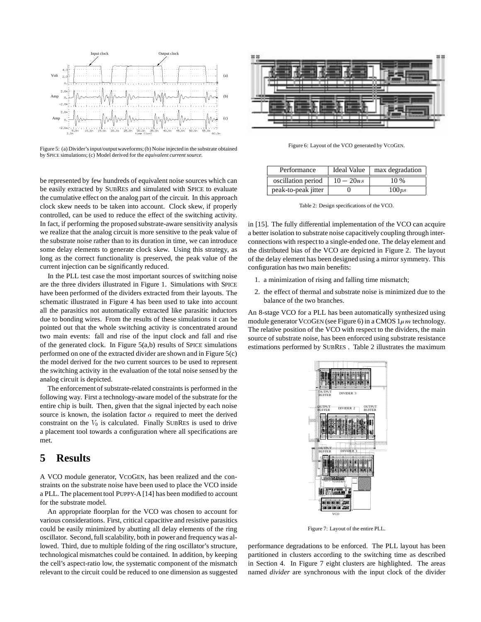

Figure 5: (a) Divider's input/output waveforms; (b) Noise injected in the substrate obtained by SPICE simulations; (c) Model derived for the *equivalent current source*.

be represented by few hundreds of equivalent noise sources which can be easily extracted by SUBRES and simulated with SPICE to evaluate the cumulative effect on the analog part of the circuit. In this approach clock skew needs to be taken into account. Clock skew, if properly controlled, can be used to reduce the effect of the switching activity. In fact, if performing the proposed substrate-aware sensitivity analysis we realize that the analog circuit is more sensitive to the peak value of the substrate noise rather than to its duration in time, we can introduce some delay elements to generate clock skew. Using this strategy, as long as the correct functionality is preserved, the peak value of the current injection can be significantly reduced.

In the PLL test case the most important sources of switching noise are the three dividers illustrated in Figure 1. Simulations with SPICE have been performed of the dividers extracted from their layouts. The schematic illustrated in Figure 4 has been used to take into account all the parasitics not automatically extracted like parasitic inductors due to bonding wires. From the results of these simulations it can be pointed out that the whole switching activity is concentrated around two main events: fall and rise of the input clock and fall and rise of the generated clock. In Figure 5(a,b) results of SPICE simulations performed on one of the extracted divider are shown and in Figure 5(c) the model derived for the two current sources to be used to represent the switching activity in the evaluation of the total noise sensed by the analog circuit is depicted.

The enforcement of substrate-related constraints is performed in the following way. First a technology-aware model of the substrate for the entire chip is built. Then, given that the signal injected by each noise source is known, the isolation factor  $\alpha$  required to meet the derived constraint on the  $V_0$  is calculated. Finally SUBRES is used to drive a placement tool towards a configuration where all specifications are met.

### **5 Results**

A VCO module generator, VCOGEN, has been realized and the constraints on the substrate noise have been used to place the VCO inside a PLL. The placement tool PUPPY-A [14] has been modified to account for the substrate model.

An appropriate floorplan for the VCO was chosen to account for various considerations. First, critical capacitive and resistive parasitics could be easily minimized by abutting all delay elements of the ring oscillator. Second, full scalability, both in power and frequency was allowed. Third, due to multiple folding of the ring oscillator's structure, technological mismatches could be contained. In addition, by keeping the cell's aspect-ratio low, the systematic component of the mismatch relevant to the circuit could be reduced to one dimension as suggested



Figure 6: Layout of the VCO generated by VCOGEN.

| Performance         | <b>Ideal Value</b> | max degradation |
|---------------------|--------------------|-----------------|
| oscillation period  | $10 - 20ns$        | 10%             |
| peak-to-peak jitter |                    | 100 ps          |

Table 2: Design specifications of the VCO.

in [15]. The fully differential implementation of the VCO can acquire a better isolation to substrate noise capacitively coupling through interconnections with respect to a single-ended one. The delay element and the distributed bias of the VCO are depicted in Figure 2. The layout of the delay element has been designed using a mirror symmetry. This configuration has two main benefits:

- 1. a minimization of rising and falling time mismatch;
- 2. the effect of thermal and substrate noise is minimized due to the balance of the two branches.

An 8-stage VCO for a PLL has been automatically synthesized using module generator VCOGEN (see Figure 6) in a CMOS  $1 \mu m$  technology. The relative position of the VCO with respect to the dividers, the main source of substrate noise, has been enforced using substrate resistance estimations performed by SUBRES . Table 2 illustrates the maximum



Figure 7: Layout of the entire PLL.

performance degradations to be enforced. The PLL layout has been partitioned in clusters according to the switching time as described in Section 4. In Figure 7 eight clusters are highlighted. The areas named *divider* are synchronous with the input clock of the divider